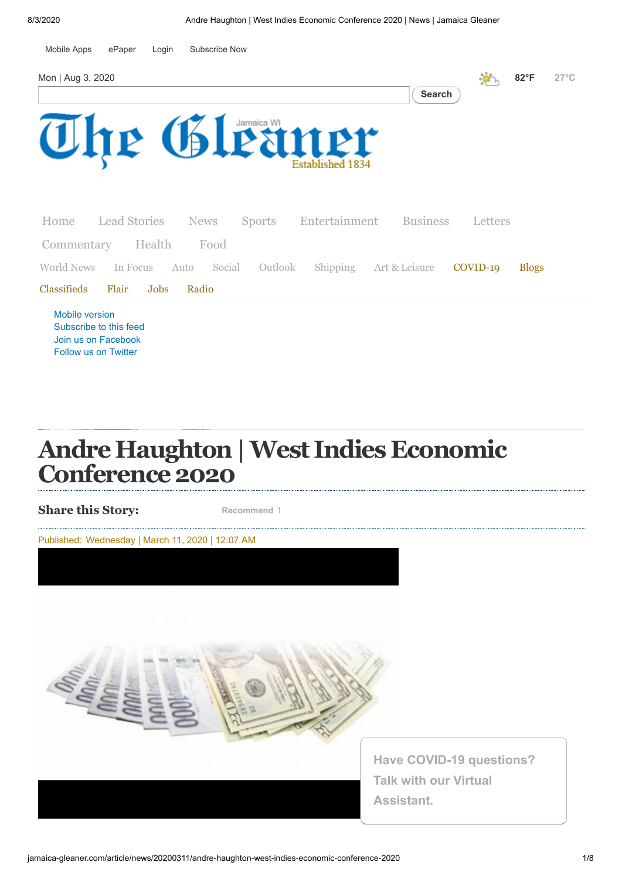

[Join us on Facebook](https://www.facebook.com/gleanerjamaica) [Follow us on Twitter](http://twitter.com/jamaicagleaner)

# **Andre Haughton|West Indies Economic Conference 2020**

**Share this Story:**

**Recommend** 1

Published: Wednesday | March 11, 2020 | 12:07 AM



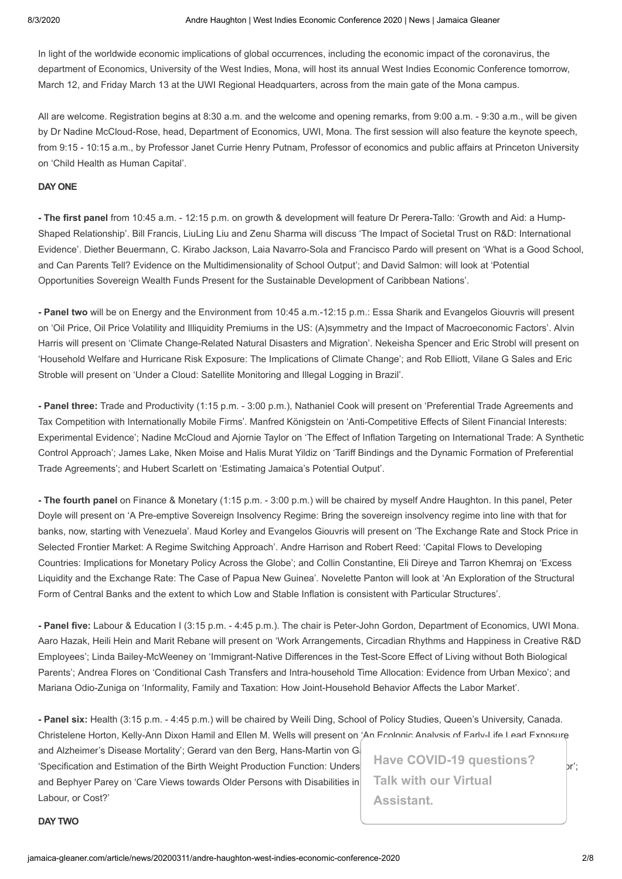In light of the worldwide economic implications of global occurrences, including the economic impact of the coronavirus, the department of Economics, University of the West Indies, Mona, will host its annual West Indies Economic Conference tomorrow, March 12, and Friday March 13 at the UWI Regional Headquarters, across from the main gate of the Mona campus.

All are welcome. Registration begins at 8:30 a.m. and the welcome and opening remarks, from 9:00 a.m. - 9:30 a.m., will be given by Dr Nadine McCloud-Rose, head, Department of Economics, UWI, Mona. The first session will also feature the keynote speech, from 9:15 - 10:15 a.m., by Professor Janet Currie Henry Putnam, Professor of economics and public affairs at Princeton University on 'Child Health as Human Capital'.

#### **DAY ONE**

**- The first panel** from 10:45 a.m. - 12:15 p.m. on growth & development will feature Dr Perera-Tallo: 'Growth and Aid: a Hump-Shaped Relationship'. Bill Francis, LiuLing Liu and Zenu Sharma will discuss 'The Impact of Societal Trust on R&D: International Evidence'. Diether Beuermann, C. Kirabo Jackson, Laia Navarro-Sola and Francisco Pardo will present on 'What is a Good School, and Can Parents Tell? Evidence on the Multidimensionality of School Output'; and David Salmon: will look at 'Potential Opportunities Sovereign Wealth Funds Present for the Sustainable Development of Caribbean Nations'.

**- Panel two** will be on Energy and the Environment from 10:45 a.m.-12:15 p.m.: Essa Sharik and Evangelos Giouvris will present on 'Oil Price, Oil Price Volatility and Illiquidity Premiums in the US: (A)symmetry and the Impact of Macroeconomic Factors'. Alvin Harris will present on 'Climate Change-Related Natural Disasters and Migration'. Nekeisha Spencer and Eric Strobl will present on 'Household Welfare and Hurricane Risk Exposure: The Implications of Climate Change'; and Rob Elliott, Vilane G Sales and Eric Stroble will present on 'Under a Cloud: Satellite Monitoring and Illegal Logging in Brazil'.

**- Panel three:** Trade and Productivity (1:15 p.m. - 3:00 p.m.), Nathaniel Cook will present on 'Preferential Trade Agreements and Tax Competition with Internationally Mobile Firms'. Manfred Königstein on 'Anti-Competitive Effects of Silent Financial Interests: Experimental Evidence'; Nadine McCloud and Ajornie Taylor on 'The Effect of Inflation Targeting on International Trade: A Synthetic Control Approach'; James Lake, Nken Moise and Halis Murat Yildiz on 'Tariff Bindings and the Dynamic Formation of Preferential Trade Agreements'; and Hubert Scarlett on 'Estimating Jamaica's Potential Output'.

**- The fourth panel** on Finance & Monetary (1:15 p.m. - 3:00 p.m.) will be chaired by myself Andre Haughton. In this panel, Peter Doyle will present on 'A Pre-emptive Sovereign Insolvency Regime: Bring the sovereign insolvency regime into line with that for banks, now, starting with Venezuela'. Maud Korley and Evangelos Giouvris will present on 'The Exchange Rate and Stock Price in Selected Frontier Market: A Regime Switching Approach'. Andre Harrison and Robert Reed: 'Capital Flows to Developing Countries: Implications for Monetary Policy Across the Globe'; and Collin Constantine, Eli Direye and Tarron Khemraj on 'Excess Liquidity and the Exchange Rate: The Case of Papua New Guinea'. Novelette Panton will look at 'An Exploration of the Structural Form of Central Banks and the extent to which Low and Stable Inflation is consistent with Particular Structures'.

**- Panel five:** Labour & Education I (3:15 p.m. - 4:45 p.m.). The chair is Peter-John Gordon, Department of Economics, UWI Mona. Aaro Hazak, Heili Hein and Marit Rebane will present on 'Work Arrangements, Circadian Rhythms and Happiness in Creative R&D Employees'; Linda Bailey-McWeeney on 'Immigrant-Native Differences in the Test-Score Effect of Living without Both Biological Parents'; Andrea Flores on 'Conditional Cash Transfers and Intra-household Time Allocation: Evidence from Urban Mexico'; and Mariana Odio-Zuniga on 'Informality, Family and Taxation: How Joint-Household Behavior Affects the Labor Market'.

**- Panel six:** Health (3:15 p.m. - 4:45 p.m.) will be chaired by Weili Ding, School of Policy Studies, Queen's University, Canada. Christelene Horton, Kelly-Ann Dixon Hamil and Ellen M. Wells will present on 'An Ecologic Analysis of Early-Life Lead Exposure

and Alzheimer's Disease Mortality'; Gerard van den Berg, Hans-Martin von Ga 'Specification and Estimation of the Birth Weight Production Function: Understanding the Effects of Index for  $\vert r \rangle$ ; and Bephyer Parey on 'Care Views towards Older Persons with Disabilities in Labour, or Cost?'

**Have COVID-19 questions? Talk with our Virtual Assistant.**

#### **DAY TWO**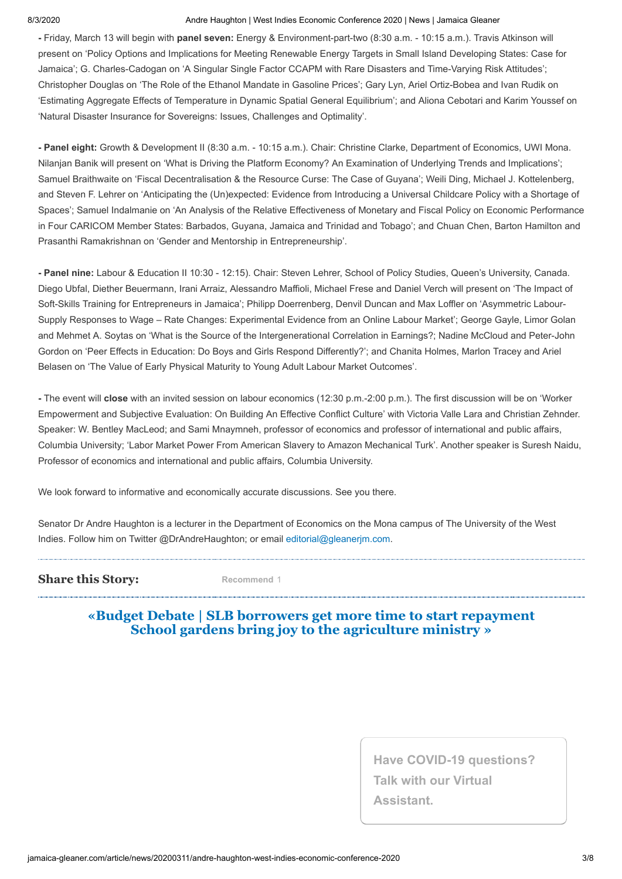#### 8/3/2020 Andre Haughton | West Indies Economic Conference 2020 | News | Jamaica Gleaner

**-** Friday, March 13 will begin with **panel seven:** Energy & Environment-part-two (8:30 a.m. - 10:15 a.m.). Travis Atkinson will present on 'Policy Options and Implications for Meeting Renewable Energy Targets in Small Island Developing States: Case for Jamaica'; G. Charles-Cadogan on 'A Singular Single Factor CCAPM with Rare Disasters and Time-Varying Risk Attitudes'; Christopher Douglas on 'The Role of the Ethanol Mandate in Gasoline Prices'; Gary Lyn, Ariel Ortiz-Bobea and Ivan Rudik on 'Estimating Aggregate Effects of Temperature in Dynamic Spatial General Equilibrium'; and Aliona Cebotari and Karim Youssef on 'Natural Disaster Insurance for Sovereigns: Issues, Challenges and Optimality'.

**- Panel eight:** Growth & Development II (8:30 a.m. - 10:15 a.m.). Chair: Christine Clarke, Department of Economics, UWI Mona. Nilanjan Banik will present on 'What is Driving the Platform Economy? An Examination of Underlying Trends and Implications'; Samuel Braithwaite on 'Fiscal Decentralisation & the Resource Curse: The Case of Guyana'; Weili Ding, Michael J. Kottelenberg, and Steven F. Lehrer on 'Anticipating the (Un)expected: Evidence from Introducing a Universal Childcare Policy with a Shortage of Spaces'; Samuel Indalmanie on 'An Analysis of the Relative Effectiveness of Monetary and Fiscal Policy on Economic Performance in Four CARICOM Member States: Barbados, Guyana, Jamaica and Trinidad and Tobago'; and Chuan Chen, Barton Hamilton and Prasanthi Ramakrishnan on 'Gender and Mentorship in Entrepreneurship'.

**- Panel nine:** Labour & Education II 10:30 - 12:15). Chair: Steven Lehrer, School of Policy Studies, Queen's University, Canada. Diego Ubfal, Diether Beuermann, Irani Arraiz, Alessandro Maffioli, Michael Frese and Daniel Verch will present on 'The Impact of Soft-Skills Training for Entrepreneurs in Jamaica'; Philipp Doerrenberg, Denvil Duncan and Max Loffler on 'Asymmetric Labour-Supply Responses to Wage – Rate Changes: Experimental Evidence from an Online Labour Market'; George Gayle, Limor Golan and Mehmet A. Soytas on 'What is the Source of the Intergenerational Correlation in Earnings?; Nadine McCloud and Peter-John Gordon on 'Peer Effects in Education: Do Boys and Girls Respond Differently?'; and Chanita Holmes, Marlon Tracey and Ariel Belasen on 'The Value of Early Physical Maturity to Young Adult Labour Market Outcomes'.

**-** The event will **close** with an invited session on labour economics (12:30 p.m.-2:00 p.m.). The first discussion will be on 'Worker Empowerment and Subjective Evaluation: On Building An Effective Conflict Culture' with Victoria Valle Lara and Christian Zehnder. Speaker: W. Bentley MacLeod; and Sami Mnaymneh, professor of economics and professor of international and public affairs, Columbia University; 'Labor Market Power From American Slavery to Amazon Mechanical Turk'. Another speaker is Suresh Naidu, Professor of economics and international and public affairs, Columbia University.

We look forward to informative and economically accurate discussions. See you there.

Senator Dr Andre Haughton is a lecturer in the Department of Economics on the Mona campus of The University of the West Indies. Follow him on Twitter @DrAndreHaughton; or email [editorial@gleanerjm.com](mailto:editorial@gleanerjm.com).

#### **Share this Story:**

**Recommend** 1

#### **«Budget Debate | SLB [borrowers get](http://jamaica-gleaner.com/article/news/20200310/budget-debate-slb-borrowers-get-more-time-start-repayment) more time to start repayment School [gardens bring](http://jamaica-gleaner.com/article/news/20200311/school-gardens-bring-joy-agriculture-ministry) joy to the agriculture ministry »**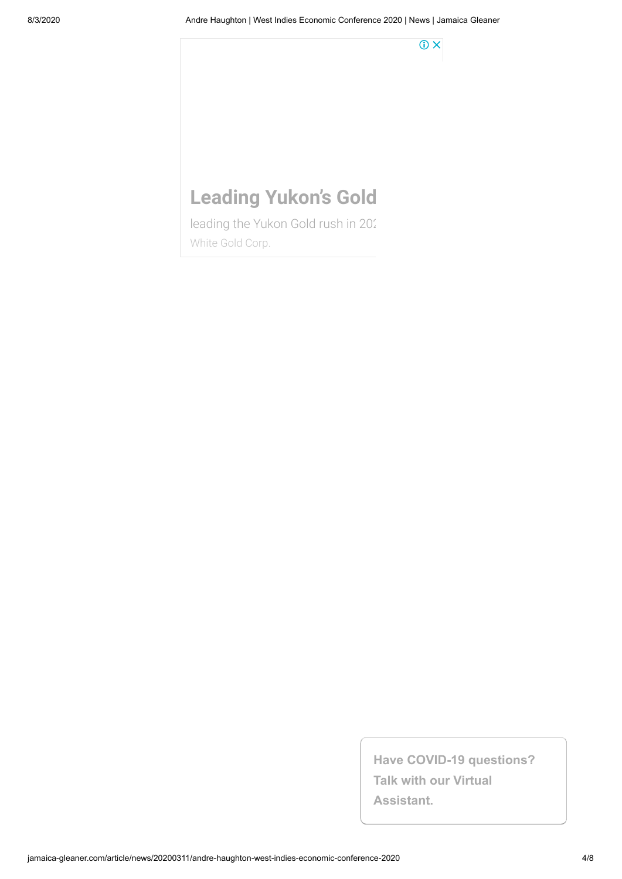$\odot$  X

# **Leading Yukon's Gold**

leading the Yukon Gold rush in 202 [White Gold Corp.](https://www.googleadservices.com/pagead/aclk?sa=L&ai=CkeIVJdQnX7a4BIvq2QSXzYfAA-qdsNhdmJWKi-ELwI23ARABIPXX9QFg5YKAgOAOoAGnqM3TAsgBCakCEm2I1qkEqT6oAwHIA8MEqgSSAk_QzfKrP1Auf_tsR2q6b-wMtVm2XoQRjfuEHaMbupbLvMzlDLKmLJezsDc9mh_nem8I2jFpSdjwPigHTHp9VODcXIPOrHPkevjsU8yuQazbYcuzsO_t71tpi_UoD2FJ1KphkuIbcP93XoqAvggo37pDwDm8zOX96SpVmP4d-CZ9TkvYREg2LHgu5g90x9TsCBxeY0FpouzNOJily9zxovmgwyKf_DuejCHtLUfbw3gUF5AuAtGEa9QFB22ALDkg5CbVLZ3oksko-mf3MX_hqcR9LIVEZpa5kQ-8jlXJEs7ikkRZFLDahP2RXYLac6Wk5j-W_cbXH3Xk3DSom-pjgt6K18ejXsG7Alz5McFUgR-fcjnABNrnxOS-AqAGLoAHwdeyrAGoB47OG6gH1ckbqAeT2BuoB7oGqAfw2RuoB_LZG6gHpr4bqAfs1RuoB_PRG6gH7NUbqAeW2BuoB8LaG9gHANIIBwiAYRABGB-xCe_AU57lqYcJgAoBigocaHR0cHM6Ly9scC53aGl0ZWdvbGRjb3JwLmNhL5gLAcgLAeALAYAMAdgTCg&ae=1&num=1&cid=CAASEuRoJKXomcOyqA959sezZcHEpA&sig=AOD64_3M1hf64GsY8yj0v83or5dDpKi2Sg&client=ca-pub-4993191856924332&nb=1&adurl=https://lp.whitegoldcorp.ca/leading-yukon-gold-rush/)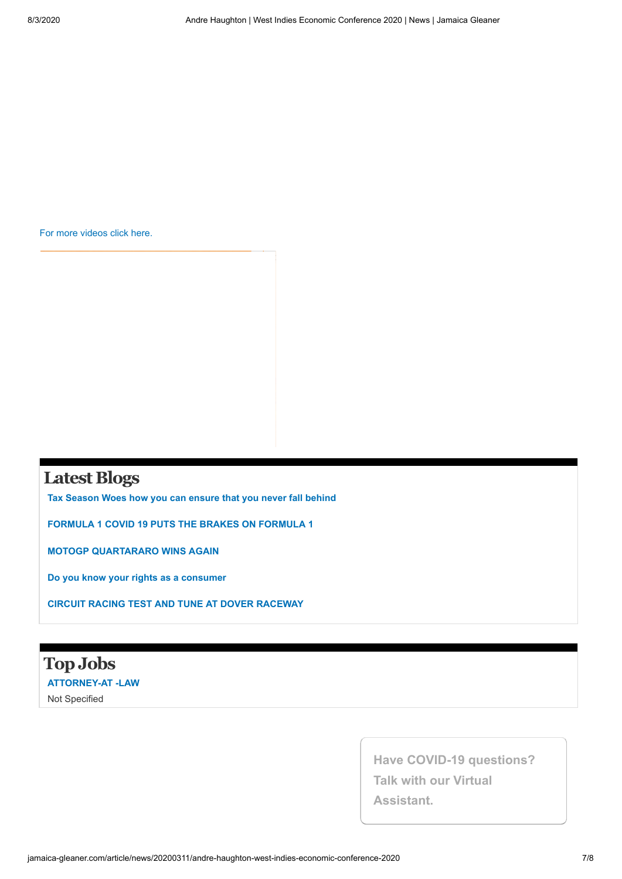[For more videos click here.](http://old.jamaica-gleaner.com/videos/)

## **Latest Blogs**

**[Tax Season Woes how you can ensure that you never fall behind](http://gleanerblogs.com/iconsumer/?p=5029)**

**[FORMULA 1 COVID 19 PUTS THE BRAKES ON FORMULA 1](http://gleanerblogs.com/motorsports/?p=6003)**

**[MOTOGP QUARTARARO WINS AGAIN](http://gleanerblogs.com/motorsports/?p=5995)**

**[Do you know your rights as a consumer](http://gleanerblogs.com/iconsumer/?p=5032)**

**[CIRCUIT RACING TEST AND TUNE AT DOVER RACEWAY](http://gleanerblogs.com/motorsports/?p=5990)**

## **TopJobs [ATTORNEY-AT -LAW](http://go-jamaica.com/jobsmart/view_ad_details.php?id=34884)** Not Specified

**Have COVID-19 questions?**

**Talk with our Virtual**

**Assistant.**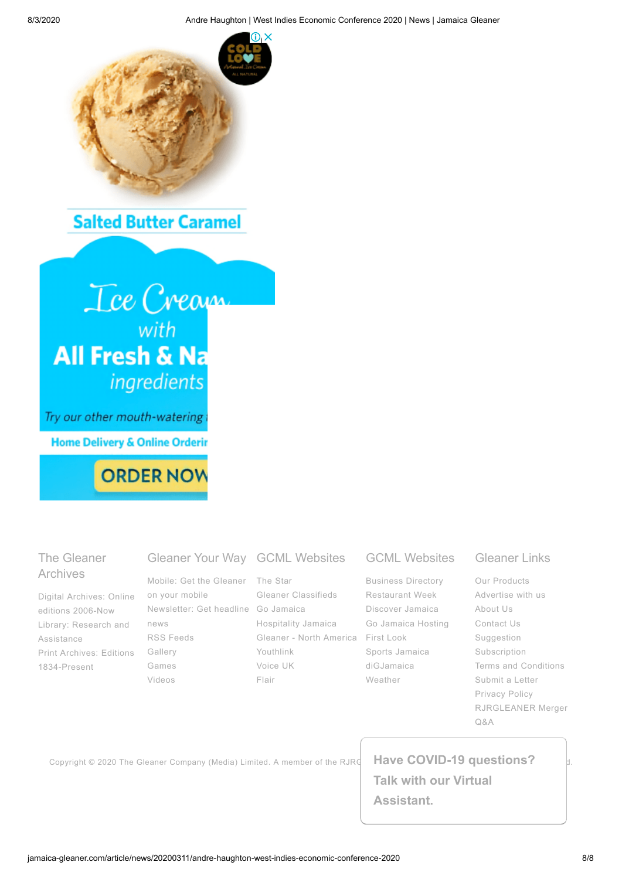

# **Salted Butter Caramel**



**ORDER NOW** 

### The Gleaner Archives

Digital Archives: Online editions [2006-Now](http://old.jamaica-gleaner.com/search3.htm) Library: Research and [Assistance](http://jamaica-gleaner.com/library) Print Archives: Editions [1834-Present](http://gleaner.newspaperarchive.com/default.aspx)

Mobile: Get the [Gleaner](http://jamaica-gleaner.com/content/getmobile.html) on your mobile [Newsletter:](http://member.jamaica-gleaner.com/subscription/) Get headline Go [Jamaica](http://go-jamaica.com/) news RSS [Feeds](http://jamaica-gleaner.com/gleaner/rss.html) [Gallery](http://gallery.jamaica-gleaner.com/gallery/) [Games](http://jamaica-gleaner.com/games) [Videos](http://videos.jamaica-gleaner.com/videos/)

#### Gleaner Your Way GCML Websites

The [Star](http://jamaica-star.com/) Gleaner [Classifieds](http://www.gleanerclassifieds.com/) [Hospitality](http://hospitalityjamaica.com/) Jamaica Gleaner - North [America](http://gleanerextra.com/) First [Look](http://www.gofirstlook.com/) [Youthlink](http://www.youthlinkjamaica.com/) [Voice](http://www.voice-online.co.uk/) UK [Flair](http://flairja.com/)

#### GCML Websites

[Business](http://go-jamaica.com/business/) Directory [Restaurant](http://go-jamaica.com/rw/) Week [Discover](http://discoverjamaica.com/) Jamaica Go [Jamaica](http://gojamaica-host.com/) Hosting Sports [Jamaica](http://www.sportsjamaica.com/) [diGJamaica](http://www.digjamaica.com/) [Weather](http://go-jamaica.com/weather/)

## Gleaner Links

Our [Products](http://old.jamaica-gleaner.com/our-products.php) [Advertise](http://jamaica-gleaner.com/gleaner/advertise.html) with us [About](http://jamaica-gleaner.com/about) Us [Contact](http://jamaica-gleaner.com/content/contact.html) Us [Suggestion](http://jamaica-gleaner.com/content/suggestions.html) [Subscription](http://member.jamaica-gleaner.com/subscription/) Terms and [Conditions](http://jamaica-gleaner.com/content/disclaimer.html) [Submit](http://jamaica-gleaner.com/content/letters-editor) a Letter [Privacy](http://jamaica-gleaner.com/gleaner/privacy.html) Policy [RJRGLEANER](http://jamaica-gleaner.com/rjrgleanermerger) Merger Q&A

Copyright © 2020 The Gleaner Company (Media) Limited. A member of the RJRGLAC**HAVE COVID-19 questions?** 

**Talk with our Virtual Assistant.**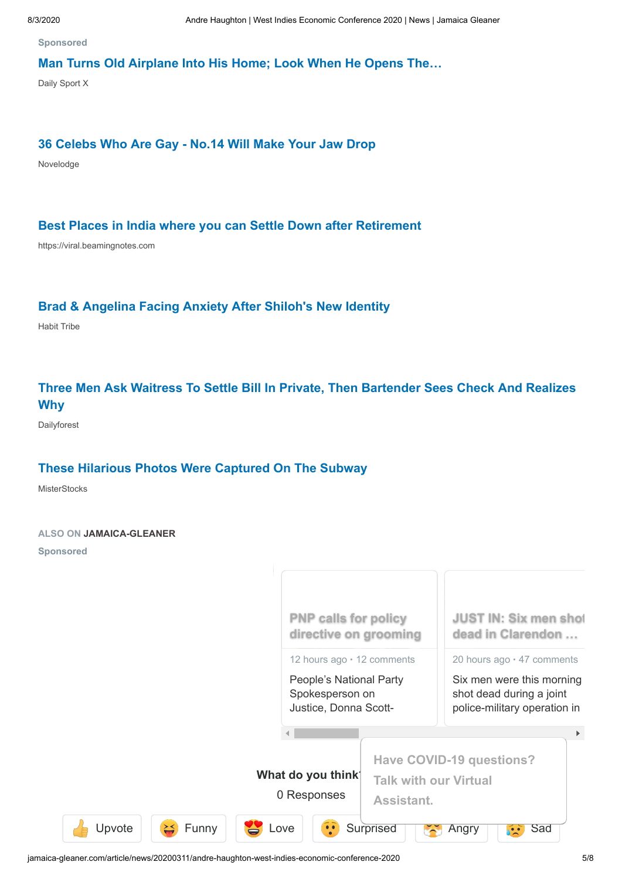**Sponsored**

#### **[Man Turns Old Airplane Into His Home; Look When He Opens The…](http://www.dailysportx.com/worldwide/plane-home?utm_medium=taboola&utm_source=taboola&utm_campaign=ta-ds-planeh-s-des-ww-safe-msn-12060d&utm_term=disqus-widget-jamaica-gleaner)**

Daily Sport X

#### **[36 Celebs Who Are Gay - No.14 Will Make Your Jaw Drop](http://rfvtgb.novelodge.com/worldwide/lgbt-stars-2?utm_medium=taboola&utm_source=taboola&utm_campaign=ta-nl-dental-s-des-0w-29070d&utm_term=disqus-widget-jamaica-gleaner)**

Novelodge

#### **[Best Places in India where you can Settle Down after Retirement](https://vt.beamingnotes.com/best-places-in-india-where-you-can-settle-down-after-retirement/?utm_source=taboola&utm_medium=referral&campaign_name=VTsettle1&platform=desktop#tblciGiCSZ1wXNlWn6DfjXhjtWFO7m97R-GgH9N1jcUS8Z-rOHiCR7Ew)**

https://viral.beamingnotes.com

#### **[Brad & Angelina Facing Anxiety After Shiloh's New Identity](https://rfvtgb.habittribe.com/worldwide/shiloh?utm_medium=taboola&utm_source=taboola&utm_campaign=ta-hb-shiloh-s-des-0w-30070q&utm_term=disqus-widget-jamaica-gleaner)**

Habit Tribe

### **[Three Men Ask Waitress To Settle Bill In Private, Then Bartender Sees Check And Realizes](https://www.dailyforest.com/worldwide/waitress-bill?utm_campaign=t-df-waitress-bill3-d-ww-160720&utm_medium=taboola&utm_source=taboola&utm_term=disqus-widget-jamaica-gleaner) Why**

Dailyforest

#### **[These Hilarious Photos Were Captured On The Subway](http://misterstocks.com/trending/subway-photos?utm_source=taboola&utm_medium=disqus-widget-jamaica-gleaner&utm_campaign=3529262&utm_term=These+Hilarious+Photos+Were+Captured+On+The+Subway&utm_content=http%3A%2F%2Fcdn.taboola.com%2Flibtrc%2Fstatic%2Fthumbnails%2F84b5debde89de8b8cc4358c2d41e7e3e.jpg)**

**MisterStocks** 

#### **ALSO ON JAMAICA-GLEANER**

**Sponsored**